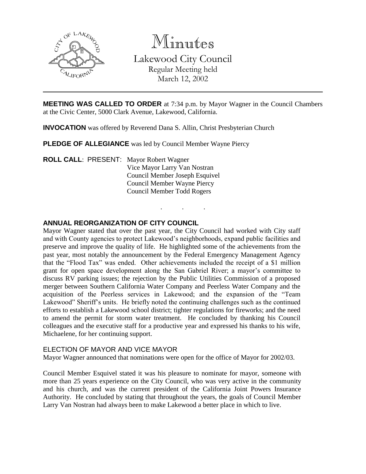

Minutes

Lakewood City Council Regular Meeting held March 12, 2002

**MEETING WAS CALLED TO ORDER** at 7:34 p.m. by Mayor Wagner in the Council Chambers at the Civic Center, 5000 Clark Avenue, Lakewood, California.

. . .

**INVOCATION** was offered by Reverend Dana S. Allin, Christ Presbyterian Church

**PLEDGE OF ALLEGIANCE** was led by Council Member Wayne Piercy

**ROLL CALL**: PRESENT: Mayor Robert Wagner Vice Mayor Larry Van Nostran Council Member Joseph Esquivel Council Member Wayne Piercy Council Member Todd Rogers

# **ANNUAL REORGANIZATION OF CITY COUNCIL**

Mayor Wagner stated that over the past year, the City Council had worked with City staff and with County agencies to protect Lakewood's neighborhoods, expand public facilities and preserve and improve the quality of life. He highlighted some of the achievements from the past year, most notably the announcement by the Federal Emergency Management Agency that the "Flood Tax" was ended. Other achievements included the receipt of a \$1 million grant for open space development along the San Gabriel River; a mayor's committee to discuss RV parking issues; the rejection by the Public Utilities Commission of a proposed merger between Southern California Water Company and Peerless Water Company and the acquisition of the Peerless services in Lakewood; and the expansion of the "Team Lakewood" Sheriff's units. He briefly noted the continuing challenges such as the continued efforts to establish a Lakewood school district; tighter regulations for fireworks; and the need to amend the permit for storm water treatment. He concluded by thanking his Council colleagues and the executive staff for a productive year and expressed his thanks to his wife, Michaelene, for her continuing support.

# ELECTION OF MAYOR AND VICE MAYOR

Mayor Wagner announced that nominations were open for the office of Mayor for 2002/03.

Council Member Esquivel stated it was his pleasure to nominate for mayor, someone with more than 25 years experience on the City Council, who was very active in the community and his church, and was the current president of the California Joint Powers Insurance Authority. He concluded by stating that throughout the years, the goals of Council Member Larry Van Nostran had always been to make Lakewood a better place in which to live.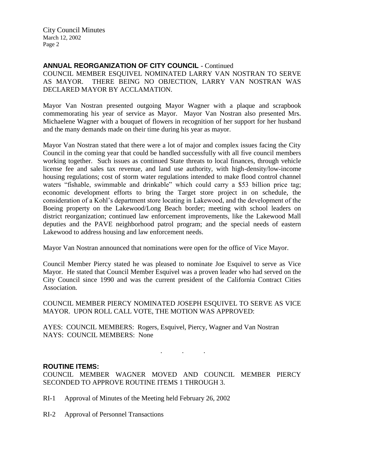City Council Minutes March 12, 2002 Page 2

# **ANNUAL REORGANIZATION OF CITY COUNCIL** - Continued

COUNCIL MEMBER ESQUIVEL NOMINATED LARRY VAN NOSTRAN TO SERVE AS MAYOR. THERE BEING NO OBJECTION, LARRY VAN NOSTRAN WAS DECLARED MAYOR BY ACCLAMATION.

Mayor Van Nostran presented outgoing Mayor Wagner with a plaque and scrapbook commemorating his year of service as Mayor. Mayor Van Nostran also presented Mrs. Michaelene Wagner with a bouquet of flowers in recognition of her support for her husband and the many demands made on their time during his year as mayor.

Mayor Van Nostran stated that there were a lot of major and complex issues facing the City Council in the coming year that could be handled successfully with all five council members working together. Such issues as continued State threats to local finances, through vehicle license fee and sales tax revenue, and land use authority, with high-density/low-income housing regulations; cost of storm water regulations intended to make flood control channel waters "fishable, swimmable and drinkable" which could carry a \$53 billion price tag; economic development efforts to bring the Target store project in on schedule, the consideration of a Kohl's department store locating in Lakewood, and the development of the Boeing property on the Lakewood/Long Beach border; meeting with school leaders on district reorganization; continued law enforcement improvements, like the Lakewood Mall deputies and the PAVE neighborhood patrol program; and the special needs of eastern Lakewood to address housing and law enforcement needs.

Mayor Van Nostran announced that nominations were open for the office of Vice Mayor.

Council Member Piercy stated he was pleased to nominate Joe Esquivel to serve as Vice Mayor. He stated that Council Member Esquivel was a proven leader who had served on the City Council since 1990 and was the current president of the California Contract Cities Association.

COUNCIL MEMBER PIERCY NOMINATED JOSEPH ESQUIVEL TO SERVE AS VICE MAYOR. UPON ROLL CALL VOTE, THE MOTION WAS APPROVED:

AYES: COUNCIL MEMBERS: Rogers, Esquivel, Piercy, Wagner and Van Nostran NAYS: COUNCIL MEMBERS: None

# **ROUTINE ITEMS:**

COUNCIL MEMBER WAGNER MOVED AND COUNCIL MEMBER PIERCY SECONDED TO APPROVE ROUTINE ITEMS 1 THROUGH 3.

. . .

- RI-1 Approval of Minutes of the Meeting held February 26, 2002
- RI-2 Approval of Personnel Transactions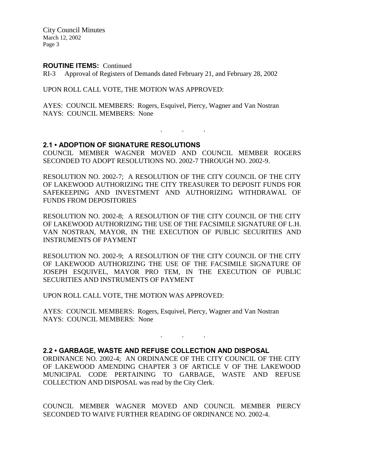City Council Minutes March 12, 2002 Page 3

#### **ROUTINE ITEMS:** Continued

RI-3 Approval of Registers of Demands dated February 21, and February 28, 2002

UPON ROLL CALL VOTE, THE MOTION WAS APPROVED:

AYES: COUNCIL MEMBERS: Rogers, Esquivel, Piercy, Wagner and Van Nostran NAYS: COUNCIL MEMBERS: None

# **2.1 • ADOPTION OF SIGNATURE RESOLUTIONS**

COUNCIL MEMBER WAGNER MOVED AND COUNCIL MEMBER ROGERS SECONDED TO ADOPT RESOLUTIONS NO. 2002-7 THROUGH NO. 2002-9.

. . .

RESOLUTION NO. 2002-7; A RESOLUTION OF THE CITY COUNCIL OF THE CITY OF LAKEWOOD AUTHORIZING THE CITY TREASURER TO DEPOSIT FUNDS FOR SAFEKEEPING AND INVESTMENT AND AUTHORIZING WITHDRAWAL OF FUNDS FROM DEPOSITORIES

RESOLUTION NO. 2002-8; A RESOLUTION OF THE CITY COUNCIL OF THE CITY OF LAKEWOOD AUTHORIZING THE USE OF THE FACSIMILE SIGNATURE OF L.H. VAN NOSTRAN, MAYOR, IN THE EXECUTION OF PUBLIC SECURITIES AND INSTRUMENTS OF PAYMENT

RESOLUTION NO. 2002-9; A RESOLUTION OF THE CITY COUNCIL OF THE CITY OF LAKEWOOD AUTHORIZING THE USE OF THE FACSIMILE SIGNATURE OF JOSEPH ESQUIVEL, MAYOR PRO TEM, IN THE EXECUTION OF PUBLIC SECURITIES AND INSTRUMENTS OF PAYMENT

UPON ROLL CALL VOTE, THE MOTION WAS APPROVED:

AYES: COUNCIL MEMBERS: Rogers, Esquivel, Piercy, Wagner and Van Nostran NAYS: COUNCIL MEMBERS: None

# **2.2 • GARBAGE, WASTE AND REFUSE COLLECTION AND DISPOSAL**

ORDINANCE NO. 2002-4; AN ORDINANCE OF THE CITY COUNCIL OF THE CITY OF LAKEWOOD AMENDING CHAPTER 3 OF ARTICLE V OF THE LAKEWOOD MUNICIPAL CODE PERTAINING TO GARBAGE, WASTE AND REFUSE COLLECTION AND DISPOSAL was read by the City Clerk.

. . .

COUNCIL MEMBER WAGNER MOVED AND COUNCIL MEMBER PIERCY SECONDED TO WAIVE FURTHER READING OF ORDINANCE NO. 2002-4.